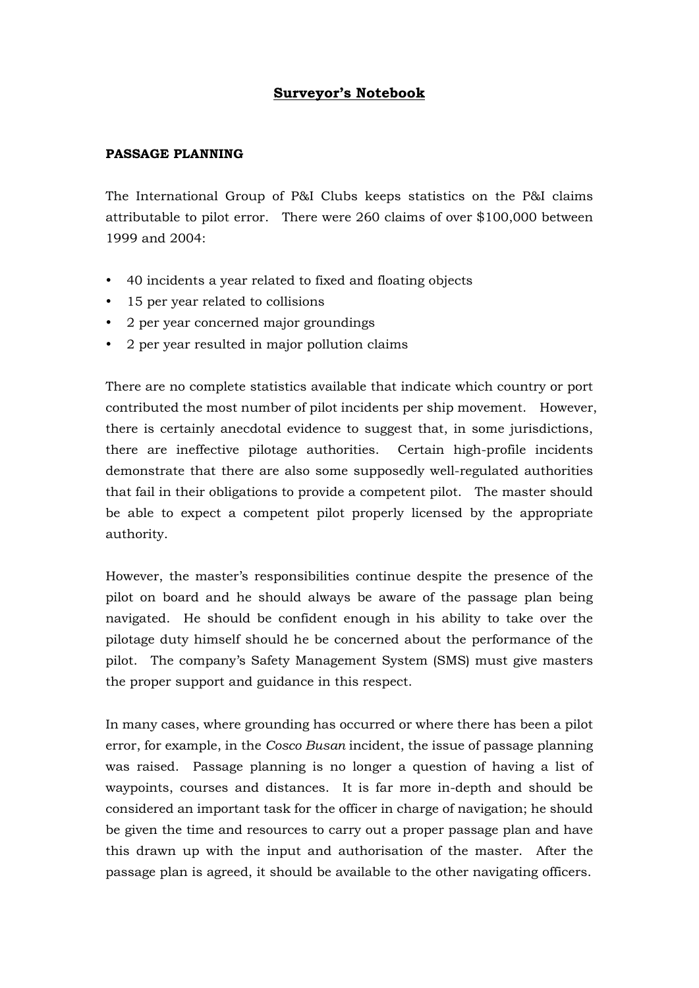## **Surveyor's Notebook**

## **PASSAGE PLANNING**

The International Group of P&I Clubs keeps statistics on the P&I claims attributable to pilot error. There were 260 claims of over \$100,000 between 1999 and 2004:

- 40 incidents a year related to fixed and floating objects
- 15 per year related to collisions
- 2 per year concerned major groundings
- 2 per year resulted in major pollution claims

There are no complete statistics available that indicate which country or port contributed the most number of pilot incidents per ship movement. However, there is certainly anecdotal evidence to suggest that, in some jurisdictions, there are ineffective pilotage authorities. Certain high-profile incidents demonstrate that there are also some supposedly well-regulated authorities that fail in their obligations to provide a competent pilot. The master should be able to expect a competent pilot properly licensed by the appropriate authority.

However, the master's responsibilities continue despite the presence of the pilot on board and he should always be aware of the passage plan being navigated. He should be confident enough in his ability to take over the pilotage duty himself should he be concerned about the performance of the pilot. The company's Safety Management System (SMS) must give masters the proper support and guidance in this respect.

In many cases, where grounding has occurred or where there has been a pilot error, for example, in the *Cosco Busan* incident, the issue of passage planning was raised. Passage planning is no longer a question of having a list of waypoints, courses and distances. It is far more in-depth and should be considered an important task for the officer in charge of navigation; he should be given the time and resources to carry out a proper passage plan and have this drawn up with the input and authorisation of the master. After the passage plan is agreed, it should be available to the other navigating officers.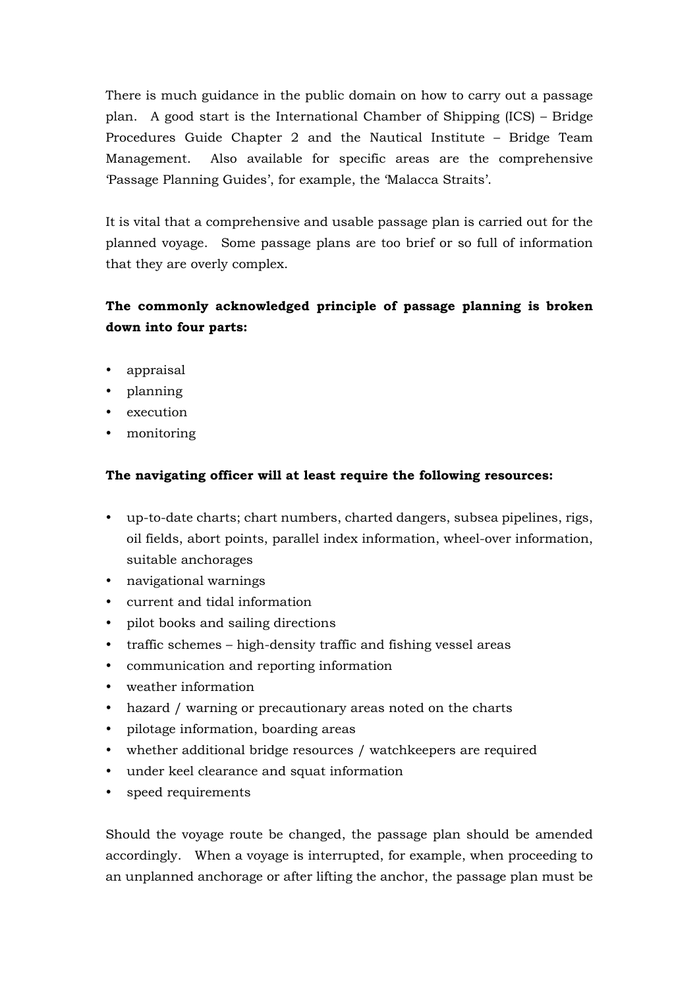There is much guidance in the public domain on how to carry out a passage plan. A good start is the International Chamber of Shipping (ICS) – Bridge Procedures Guide Chapter 2 and the Nautical Institute – Bridge Team Management. Also available for specific areas are the comprehensive 'Passage Planning Guides', for example, the 'Malacca Straits'.

It is vital that a comprehensive and usable passage plan is carried out for the planned voyage. Some passage plans are too brief or so full of information that they are overly complex.

## **The commonly acknowledged principle of passage planning is broken down into four parts:**

- appraisal
- planning
- execution
- monitoring

## **The navigating officer will at least require the following resources:**

- y up-to-date charts; chart numbers, charted dangers, subsea pipelines, rigs, oil fields, abort points, parallel index information, wheel-over information, suitable anchorages
- navigational warnings
- current and tidal information
- pilot books and sailing directions
- traffic schemes high-density traffic and fishing vessel areas
- communication and reporting information
- weather information
- hazard / warning or precautionary areas noted on the charts
- pilotage information, boarding areas
- whether additional bridge resources / watchkeepers are required
- y under keel clearance and squat information
- speed requirements

Should the voyage route be changed, the passage plan should be amended accordingly. When a voyage is interrupted, for example, when proceeding to an unplanned anchorage or after lifting the anchor, the passage plan must be